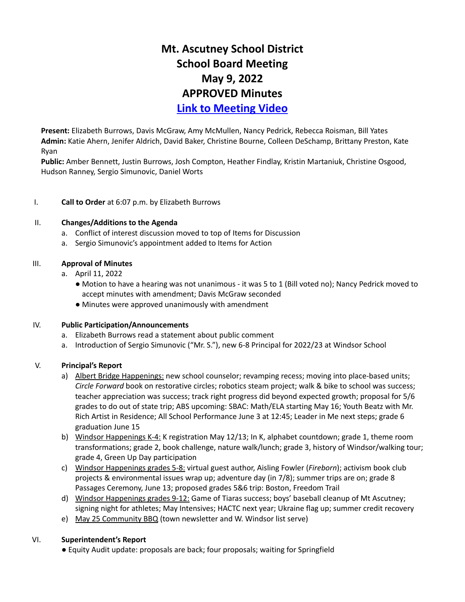# **Mt. Ascutney School District School Board Meeting May 9, 2022 APPROVED Minutes Link to [Meeting](https://www.youtube.com/watch?v=qPXJ6I072EI&feature=emb_title) Video**

**Present:** Elizabeth Burrows, Davis McGraw, Amy McMullen, Nancy Pedrick, Rebecca Roisman, Bill Yates **Admin:** Katie Ahern, Jenifer Aldrich, David Baker, Christine Bourne, Colleen DeSchamp, Brittany Preston, Kate Ryan

**Public:** Amber Bennett, Justin Burrows, Josh Compton, Heather Findlay, Kristin Martaniuk, Christine Osgood, Hudson Ranney, Sergio Simunovic, Daniel Worts

## I. **Call to Order** at 6:07 p.m. by Elizabeth Burrows

#### II. **Changes/Additions to the Agenda**

- a. Conflict of interest discussion moved to top of Items for Discussion
- a. Sergio Simunovic's appointment added to Items for Action

## III. **Approval of Minutes**

- a. April 11, 2022
	- Motion to have a hearing was not unanimous it was 5 to 1 (Bill voted no); Nancy Pedrick moved to accept minutes with amendment; Davis McGraw seconded
	- Minutes were approved unanimously with amendment

#### IV. **Public Participation/Announcements**

- a. Elizabeth Burrows read a statement about public comment
- a. Introduction of Sergio Simunovic ("Mr. S."), new 6-8 Principal for 2022/23 at Windsor School

# V. **Principal's Report**

- a) Albert Bridge Happenings: new school counselor; revamping recess; moving into place-based units; *Circle Forward* book on restorative circles; robotics steam project; walk & bike to school was success; teacher appreciation was success; track right progress did beyond expected growth; proposal for 5/6 grades to do out of state trip; ABS upcoming: SBAC: Math/ELA starting May 16; Youth Beatz with Mr. Rich Artist in Residence; All School Performance June 3 at 12:45; Leader in Me next steps; grade 6 graduation June 15
- b) Windsor Happenings K-4: K registration May 12/13; In K, alphabet countdown; grade 1, theme room transformations; grade 2, book challenge, nature walk/lunch; grade 3, history of Windsor/walking tour; grade 4, Green Up Day participation
- c) Windsor Happenings grades 5-8: virtual guest author, Aisling Fowler (*Fireborn*); activism book club projects & environmental issues wrap up; adventure day (in 7/8); summer trips are on; grade 8 Passages Ceremony, June 13; proposed grades 5&6 trip: Boston, Freedom Trail
- d) Windsor Happenings grades 9-12: Game of Tiaras success; boys' baseball cleanup of Mt Ascutney; signing night for athletes; May Intensives; HACTC next year; Ukraine flag up; summer credit recovery
- e) May 25 Community BBQ (town newsletter and W. Windsor list serve)

#### VI. **Superintendent's Report**

● Equity Audit update: proposals are back; four proposals; waiting for Springfield